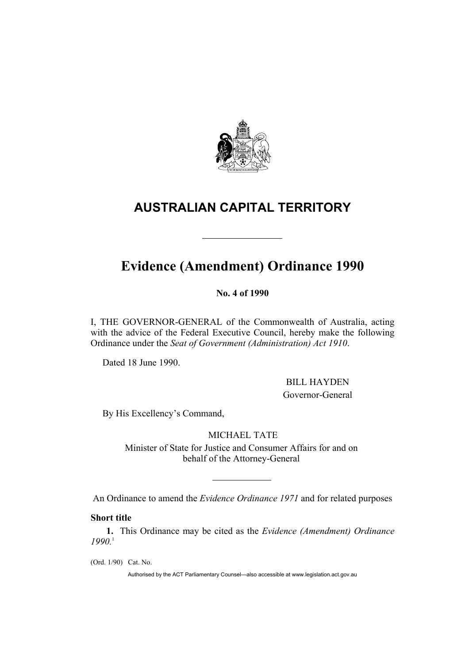

# **AUSTRALIAN CAPITAL TERRITORY**

# **Evidence (Amendment) Ordinance 1990**

**No. 4 of 1990** 

I, THE GOVERNOR-GENERAL of the Commonwealth of Australia, acting with the advice of the Federal Executive Council, hereby make the following Ordinance under the *Seat of Government (Administration) Act 1910*.

Dated 18 June 1990.

 BILL HAYDEN Governor-General

By His Excellency's Command,

MICHAEL TATE

Minister of State for Justice and Consumer Affairs for and on behalf of the Attorney-General

An Ordinance to amend the *Evidence Ordinance 1971* and for related purposes

# **Short title**

**1.** This Ordinance may be cited as the *Evidence (Amendment) Ordinance 1990.*1

(Ord. 1/90) Cat. No.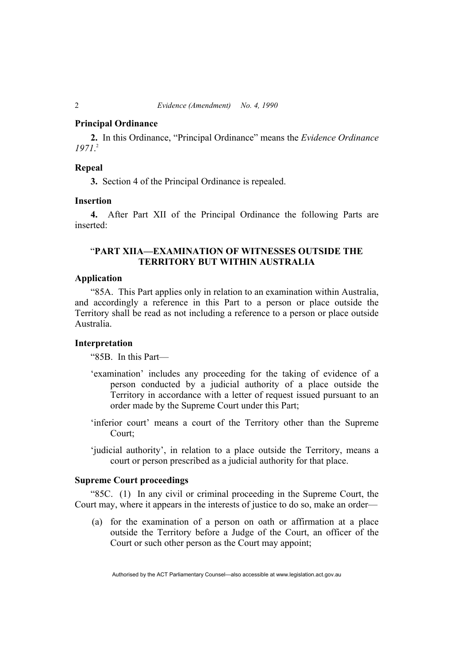## **Principal Ordinance**

**2.** In this Ordinance, "Principal Ordinance" means the *Evidence Ordinance 1971*. 2

## **Repeal**

**3.** Section 4 of the Principal Ordinance is repealed.

#### **Insertion**

**4.** After Part XII of the Principal Ordinance the following Parts are inserted:

# "**PART XIIA—EXAMINATION OF WITNESSES OUTSIDE THE TERRITORY BUT WITHIN AUSTRALIA**

## **Application**

"85A. This Part applies only in relation to an examination within Australia, and accordingly a reference in this Part to a person or place outside the Territory shall be read as not including a reference to a person or place outside Australia.

## **Interpretation**

"85B. In this Part—

- 'examination' includes any proceeding for the taking of evidence of a person conducted by a judicial authority of a place outside the Territory in accordance with a letter of request issued pursuant to an order made by the Supreme Court under this Part;
- 'inferior court' means a court of the Territory other than the Supreme Court;
- 'judicial authority', in relation to a place outside the Territory, means a court or person prescribed as a judicial authority for that place.

## **Supreme Court proceedings**

"85C. (1) In any civil or criminal proceeding in the Supreme Court, the Court may, where it appears in the interests of justice to do so, make an order—

 (a) for the examination of a person on oath or affirmation at a place outside the Territory before a Judge of the Court, an officer of the Court or such other person as the Court may appoint;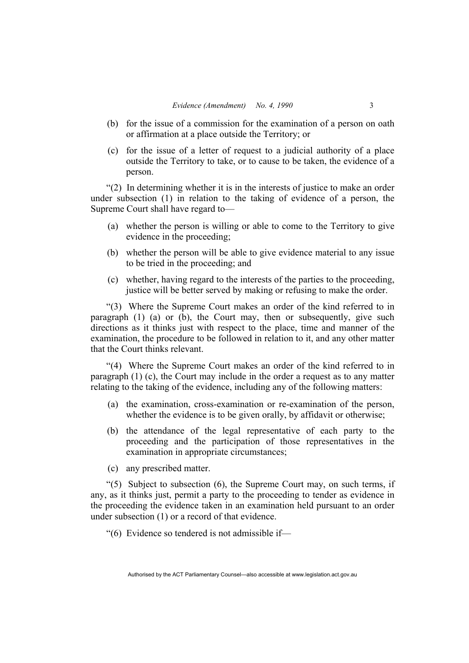- (b) for the issue of a commission for the examination of a person on oath or affirmation at a place outside the Territory; or
- (c) for the issue of a letter of request to a judicial authority of a place outside the Territory to take, or to cause to be taken, the evidence of a person.

"(2) In determining whether it is in the interests of justice to make an order under subsection (1) in relation to the taking of evidence of a person, the Supreme Court shall have regard to—

- (a) whether the person is willing or able to come to the Territory to give evidence in the proceeding;
- (b) whether the person will be able to give evidence material to any issue to be tried in the proceeding; and
- (c) whether, having regard to the interests of the parties to the proceeding, justice will be better served by making or refusing to make the order.

"(3) Where the Supreme Court makes an order of the kind referred to in paragraph (1) (a) or (b), the Court may, then or subsequently, give such directions as it thinks just with respect to the place, time and manner of the examination, the procedure to be followed in relation to it, and any other matter that the Court thinks relevant.

"(4) Where the Supreme Court makes an order of the kind referred to in paragraph (1) (c), the Court may include in the order a request as to any matter relating to the taking of the evidence, including any of the following matters:

- (a) the examination, cross-examination or re-examination of the person, whether the evidence is to be given orally, by affidavit or otherwise;
- (b) the attendance of the legal representative of each party to the proceeding and the participation of those representatives in the examination in appropriate circumstances;
- (c) any prescribed matter.

"(5) Subject to subsection (6), the Supreme Court may, on such terms, if any, as it thinks just, permit a party to the proceeding to tender as evidence in the proceeding the evidence taken in an examination held pursuant to an order under subsection (1) or a record of that evidence.

"(6) Evidence so tendered is not admissible if—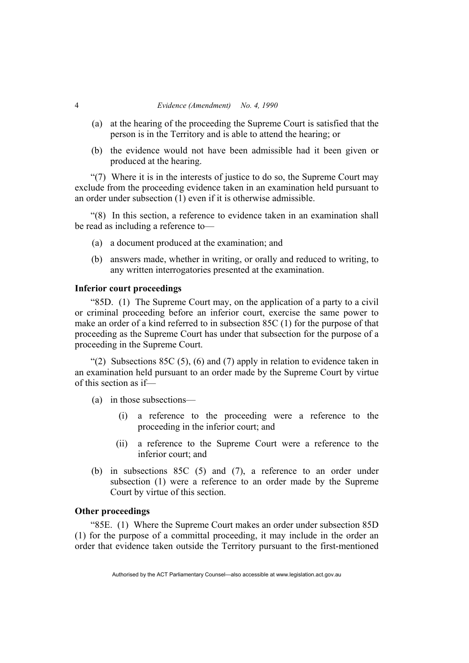- (a) at the hearing of the proceeding the Supreme Court is satisfied that the person is in the Territory and is able to attend the hearing; or
- (b) the evidence would not have been admissible had it been given or produced at the hearing.

"(7) Where it is in the interests of justice to do so, the Supreme Court may exclude from the proceeding evidence taken in an examination held pursuant to an order under subsection (1) even if it is otherwise admissible.

"(8) In this section, a reference to evidence taken in an examination shall be read as including a reference to—

- (a) a document produced at the examination; and
- (b) answers made, whether in writing, or orally and reduced to writing, to any written interrogatories presented at the examination.

## **Inferior court proceedings**

"85D. (1) The Supreme Court may, on the application of a party to a civil or criminal proceeding before an inferior court, exercise the same power to make an order of a kind referred to in subsection 85C (1) for the purpose of that proceeding as the Supreme Court has under that subsection for the purpose of a proceeding in the Supreme Court.

"(2) Subsections 85C (5), (6) and (7) apply in relation to evidence taken in an examination held pursuant to an order made by the Supreme Court by virtue of this section as if—

- (a) in those subsections—
	- (i) a reference to the proceeding were a reference to the proceeding in the inferior court; and
	- (ii) a reference to the Supreme Court were a reference to the inferior court; and
- (b) in subsections 85C (5) and (7), a reference to an order under subsection (1) were a reference to an order made by the Supreme Court by virtue of this section.

#### **Other proceedings**

"85E. (1) Where the Supreme Court makes an order under subsection 85D (1) for the purpose of a committal proceeding, it may include in the order an order that evidence taken outside the Territory pursuant to the first-mentioned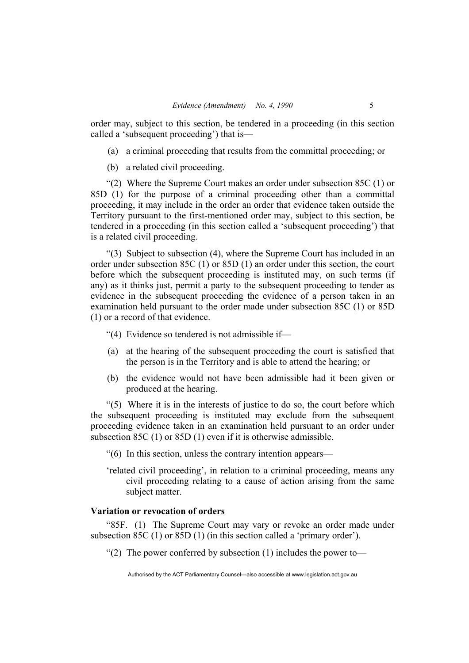order may, subject to this section, be tendered in a proceeding (in this section called a 'subsequent proceeding') that is—

- (a) a criminal proceeding that results from the committal proceeding; or
- (b) a related civil proceeding.

"(2) Where the Supreme Court makes an order under subsection 85C (1) or 85D (1) for the purpose of a criminal proceeding other than a committal proceeding, it may include in the order an order that evidence taken outside the Territory pursuant to the first-mentioned order may, subject to this section, be tendered in a proceeding (in this section called a 'subsequent proceeding') that is a related civil proceeding.

"(3) Subject to subsection (4), where the Supreme Court has included in an order under subsection 85C (1) or 85D (1) an order under this section, the court before which the subsequent proceeding is instituted may, on such terms (if any) as it thinks just, permit a party to the subsequent proceeding to tender as evidence in the subsequent proceeding the evidence of a person taken in an examination held pursuant to the order made under subsection 85C (1) or 85D (1) or a record of that evidence.

"(4) Evidence so tendered is not admissible if—

- (a) at the hearing of the subsequent proceeding the court is satisfied that the person is in the Territory and is able to attend the hearing; or
- (b) the evidence would not have been admissible had it been given or produced at the hearing.

"(5) Where it is in the interests of justice to do so, the court before which the subsequent proceeding is instituted may exclude from the subsequent proceeding evidence taken in an examination held pursuant to an order under subsection 85C (1) or 85D (1) even if it is otherwise admissible.

"(6) In this section, unless the contrary intention appears—

'related civil proceeding', in relation to a criminal proceeding, means any civil proceeding relating to a cause of action arising from the same subject matter.

#### **Variation or revocation of orders**

"85F. (1) The Supreme Court may vary or revoke an order made under subsection 85C (1) or 85D (1) (in this section called a 'primary order').

"(2) The power conferred by subsection (1) includes the power to—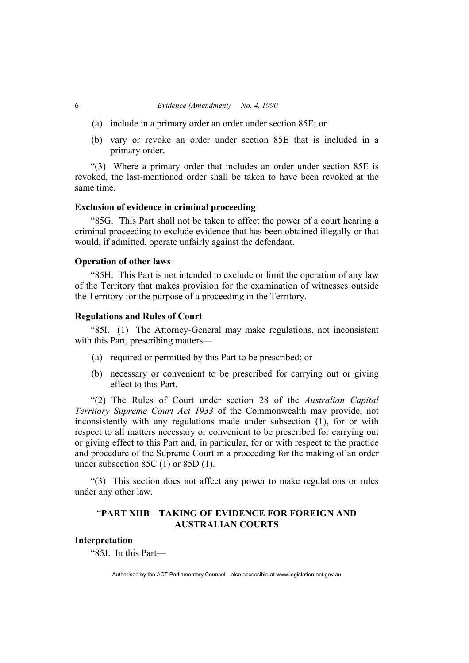- (a) include in a primary order an order under section 85E; or
- (b) vary or revoke an order under section 85E that is included in a primary order.

"(3) Where a primary order that includes an order under section 85E is revoked, the last-mentioned order shall be taken to have been revoked at the same time.

#### **Exclusion of evidence in criminal proceeding**

"85G. This Part shall not be taken to affect the power of a court hearing a criminal proceeding to exclude evidence that has been obtained illegally or that would, if admitted, operate unfairly against the defendant.

#### **Operation of other laws**

"85H. This Part is not intended to exclude or limit the operation of any law of the Territory that makes provision for the examination of witnesses outside the Territory for the purpose of a proceeding in the Territory.

#### **Regulations and Rules of Court**

"85I. (1) The Attorney-General may make regulations, not inconsistent with this Part, prescribing matters—

- (a) required or permitted by this Part to be prescribed; or
- (b) necessary or convenient to be prescribed for carrying out or giving effect to this Part.

"(2) The Rules of Court under section 28 of the *Australian Capital Territory Supreme Court Act 1933* of the Commonwealth may provide, not inconsistently with any regulations made under subsection (1), for or with respect to all matters necessary or convenient to be prescribed for carrying out or giving effect to this Part and, in particular, for or with respect to the practice and procedure of the Supreme Court in a proceeding for the making of an order under subsection 85C (1) or 85D (1).

"(3) This section does not affect any power to make regulations or rules under any other law.

## "**PART XIIB—TAKING OF EVIDENCE FOR FOREIGN AND AUSTRALIAN COURTS**

#### **Interpretation**

"85J. In this Part—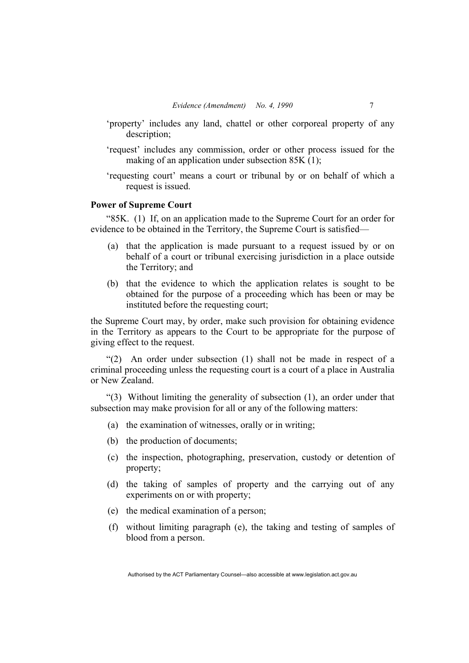- 'property' includes any land, chattel or other corporeal property of any description;
- 'request' includes any commission, order or other process issued for the making of an application under subsection 85K (1):
- 'requesting court' means a court or tribunal by or on behalf of which a request is issued.

## **Power of Supreme Court**

"85K. (1) If, on an application made to the Supreme Court for an order for evidence to be obtained in the Territory, the Supreme Court is satisfied—

- (a) that the application is made pursuant to a request issued by or on behalf of a court or tribunal exercising jurisdiction in a place outside the Territory; and
- (b) that the evidence to which the application relates is sought to be obtained for the purpose of a proceeding which has been or may be instituted before the requesting court;

the Supreme Court may, by order, make such provision for obtaining evidence in the Territory as appears to the Court to be appropriate for the purpose of giving effect to the request.

"(2) An order under subsection (1) shall not be made in respect of a criminal proceeding unless the requesting court is a court of a place in Australia or New Zealand.

"(3) Without limiting the generality of subsection (1), an order under that subsection may make provision for all or any of the following matters:

- (a) the examination of witnesses, orally or in writing;
- (b) the production of documents;
- (c) the inspection, photographing, preservation, custody or detention of property;
- (d) the taking of samples of property and the carrying out of any experiments on or with property;
- (e) the medical examination of a person;
- (f) without limiting paragraph (e), the taking and testing of samples of blood from a person.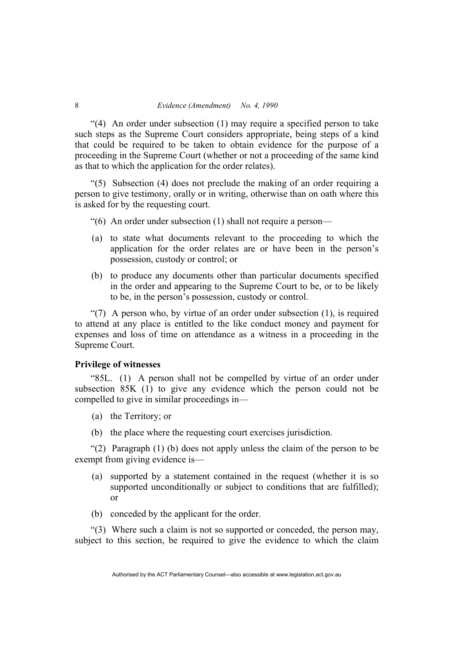$(4)$  An order under subsection (1) may require a specified person to take such steps as the Supreme Court considers appropriate, being steps of a kind that could be required to be taken to obtain evidence for the purpose of a proceeding in the Supreme Court (whether or not a proceeding of the same kind as that to which the application for the order relates).

"(5) Subsection (4) does not preclude the making of an order requiring a person to give testimony, orally or in writing, otherwise than on oath where this is asked for by the requesting court.

- "(6) An order under subsection (1) shall not require a person—
- (a) to state what documents relevant to the proceeding to which the application for the order relates are or have been in the person's possession, custody or control; or
- (b) to produce any documents other than particular documents specified in the order and appearing to the Supreme Court to be, or to be likely to be, in the person's possession, custody or control.

"(7) A person who, by virtue of an order under subsection (1), is required to attend at any place is entitled to the like conduct money and payment for expenses and loss of time on attendance as a witness in a proceeding in the Supreme Court.

#### **Privilege of witnesses**

"85L. (1) A person shall not be compelled by virtue of an order under subsection 85K (1) to give any evidence which the person could not be compelled to give in similar proceedings in—

- (a) the Territory; or
- (b) the place where the requesting court exercises jurisdiction.

"(2) Paragraph (1) (b) does not apply unless the claim of the person to be exempt from giving evidence is—

- (a) supported by a statement contained in the request (whether it is so supported unconditionally or subject to conditions that are fulfilled); or
- (b) conceded by the applicant for the order.

"(3) Where such a claim is not so supported or conceded, the person may, subject to this section, be required to give the evidence to which the claim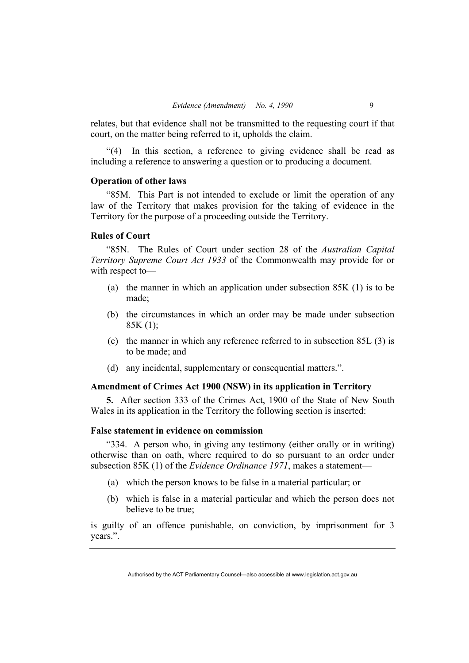relates, but that evidence shall not be transmitted to the requesting court if that court, on the matter being referred to it, upholds the claim.

"(4) In this section, a reference to giving evidence shall be read as including a reference to answering a question or to producing a document.

#### **Operation of other laws**

"85M. This Part is not intended to exclude or limit the operation of any law of the Territory that makes provision for the taking of evidence in the Territory for the purpose of a proceeding outside the Territory.

#### **Rules of Court**

"85N. The Rules of Court under section 28 of the *Australian Capital Territory Supreme Court Act 1933* of the Commonwealth may provide for or with respect to—

- (a) the manner in which an application under subsection 85K (1) is to be made;
- (b) the circumstances in which an order may be made under subsection  $85K(1);$
- (c) the manner in which any reference referred to in subsection 85L (3) is to be made; and
- (d) any incidental, supplementary or consequential matters.".

## **Amendment of Crimes Act 1900 (NSW) in its application in Territory**

**5.** After section 333 of the Crimes Act, 1900 of the State of New South Wales in its application in the Territory the following section is inserted:

## **False statement in evidence on commission**

"334. A person who, in giving any testimony (either orally or in writing) otherwise than on oath, where required to do so pursuant to an order under subsection 85K (1) of the *Evidence Ordinance 1971*, makes a statement—

- (a) which the person knows to be false in a material particular; or
- (b) which is false in a material particular and which the person does not believe to be true;

is guilty of an offence punishable, on conviction, by imprisonment for 3 years.".

Authorised by the ACT Parliamentary Counsel—also accessible at www.legislation.act.gov.au